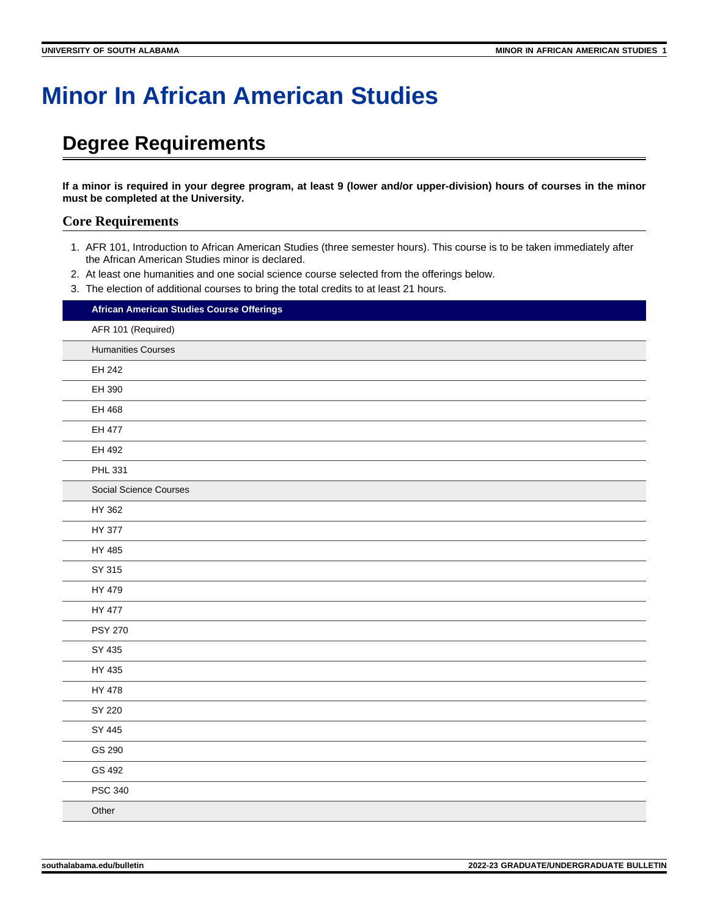## **Minor In African American Studies**

## **Degree Requirements**

**If a minor is required in your degree program, at least 9 (lower and/or upper-division) hours of courses in the minor must be completed at the University.**

## **Core Requirements**

- 1. AFR 101, Introduction to African American Studies (three semester hours). This course is to be taken immediately after the African American Studies minor is declared.
- 2. At least one humanities and one social science course selected from the offerings below.
- 3. The election of additional courses to bring the total credits to at least 21 hours.

|       | African American Studies Course Offerings |
|-------|-------------------------------------------|
|       | AFR 101 (Required)                        |
|       | <b>Humanities Courses</b>                 |
|       | EH 242                                    |
|       | EH 390                                    |
|       | EH 468                                    |
|       | EH 477                                    |
|       | EH 492                                    |
|       | PHL 331                                   |
|       | <b>Social Science Courses</b>             |
|       | HY 362                                    |
|       | HY 377                                    |
|       | HY 485                                    |
|       | SY 315                                    |
|       | HY 479                                    |
|       | HY 477                                    |
|       | <b>PSY 270</b>                            |
|       | SY 435                                    |
|       | HY 435                                    |
|       | HY 478                                    |
|       | SY 220                                    |
|       | SY 445                                    |
|       | GS 290                                    |
|       | GS 492                                    |
|       | <b>PSC 340</b>                            |
| Other |                                           |
|       |                                           |